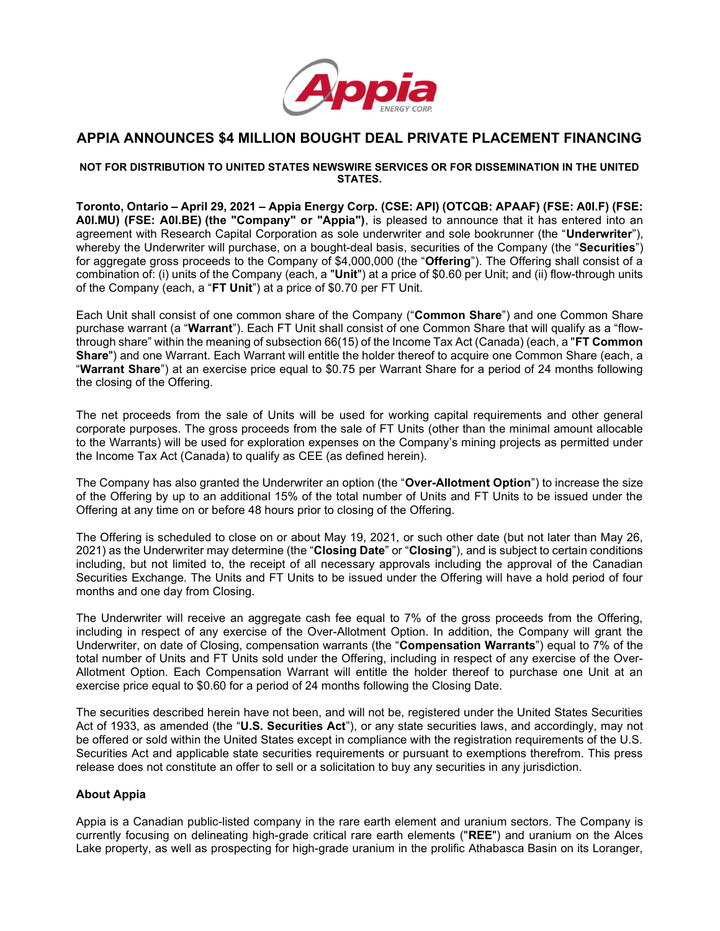

# APPIA ANNOUNCES \$4 MILLION BOUGHT DEAL PRIVATE PLACEMENT FINANCING

### NOT FOR DISTRIBUTION TO UNITED STATES NEWSWIRE SERVICES OR FOR DISSEMINATION IN THE UNITED **STATES**

Toronto, Ontario – April 29, 2021 – Appia Energy Corp. (CSE: API) (OTCQB: APAAF) (FSE: A0I.F) (FSE: A0I.MU) (FSE: A0I.BE) (the "Company" or "Appia"), is pleased to announce that it has entered into an agreement with Research Capital Corporation as sole underwriter and sole bookrunner (the "Underwriter"), whereby the Underwriter will purchase, on a bought-deal basis, securities of the Company (the "Securities") for aggregate gross proceeds to the Company of \$4,000,000 (the "Offering"). The Offering shall consist of a combination of: (i) units of the Company (each, a "**Unit**") at a price of \$0.60 per Unit; and (ii) flow-through units of the Company (each, a "FT Unit") at a price of \$0.70 per FT Unit.

Each Unit shall consist of one common share of the Company ("Common Share") and one Common Share purchase warrant (a "Warrant"). Each FT Unit shall consist of one Common Share that will qualify as a "flowthrough share" within the meaning of subsection 66(15) of the Income Tax Act (Canada) (each, a "FT Common Share") and one Warrant. Each Warrant will entitle the holder thereof to acquire one Common Share (each, a "Warrant Share") at an exercise price equal to \$0.75 per Warrant Share for a period of 24 months following the closing of the Offering.

The net proceeds from the sale of Units will be used for working capital requirements and other general corporate purposes. The gross proceeds from the sale of FT Units (other than the minimal amount allocable to the Warrants) will be used for exploration expenses on the Company's mining projects as permitted under the Income Tax Act (Canada) to qualify as CEE (as defined herein).

The Company has also granted the Underwriter an option (the "Over-Allotment Option") to increase the size of the Offering by up to an additional 15% of the total number of Units and FT Units to be issued under the Offering at any time on or before 48 hours prior to closing of the Offering.

The Offering is scheduled to close on or about May 19, 2021, or such other date (but not later than May 26, 2021) as the Underwriter may determine (the "Closing Date" or "Closing"), and is subject to certain conditions including, but not limited to, the receipt of all necessary approvals including the approval of the Canadian Securities Exchange. The Units and FT Units to be issued under the Offering will have a hold period of four months and one day from Closing.

The Underwriter will receive an aggregate cash fee equal to 7% of the gross proceeds from the Offering, including in respect of any exercise of the Over-Allotment Option. In addition, the Company will grant the Underwriter, on date of Closing, compensation warrants (the "Compensation Warrants") equal to 7% of the total number of Units and FT Units sold under the Offering, including in respect of any exercise of the Over-Allotment Option. Each Compensation Warrant will entitle the holder thereof to purchase one Unit at an exercise price equal to \$0.60 for a period of 24 months following the Closing Date.

The securities described herein have not been, and will not be, registered under the United States Securities Act of 1933, as amended (the "U.S. Securities Act"), or any state securities laws, and accordingly, may not be offered or sold within the United States except in compliance with the registration requirements of the U.S. Securities Act and applicable state securities requirements or pursuant to exemptions therefrom. This press release does not constitute an offer to sell or a solicitation to buy any securities in any jurisdiction.

## About Appia

Appia is a Canadian public-listed company in the rare earth element and uranium sectors. The Company is currently focusing on delineating high-grade critical rare earth elements ("REE") and uranium on the Alces Lake property, as well as prospecting for high-grade uranium in the prolific Athabasca Basin on its Loranger,